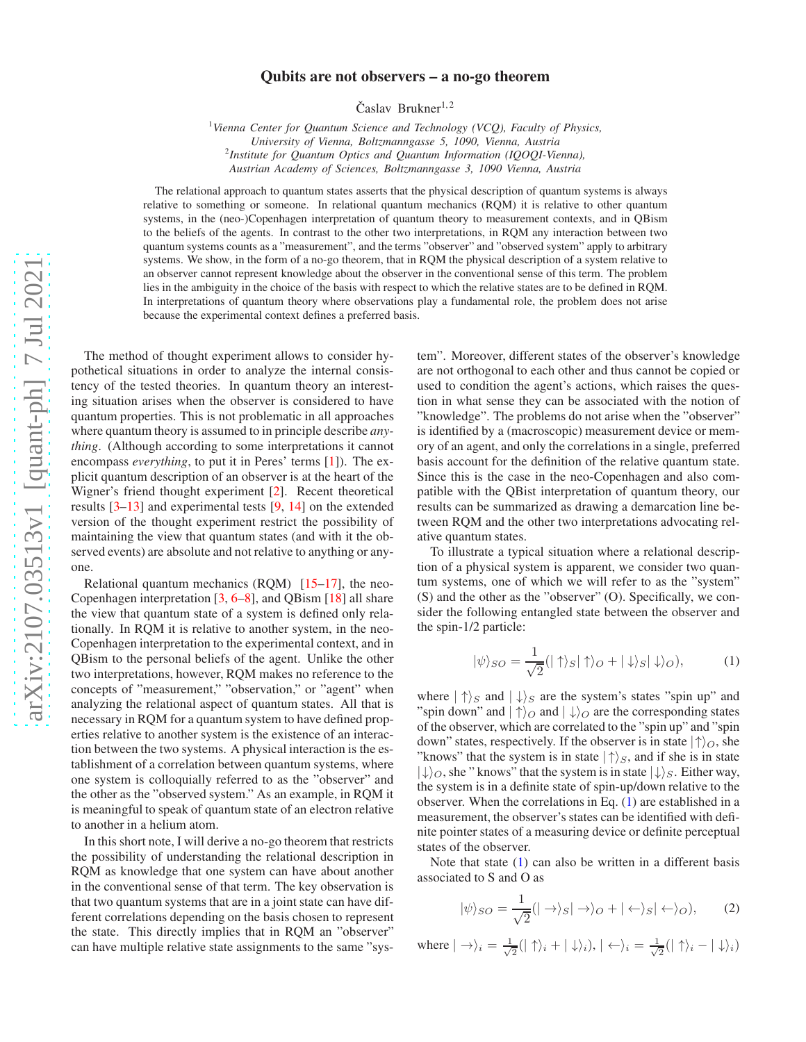## Qubits are not observers – a no-go theorem

Časlav Brukner<sup>1,2</sup>

<sup>1</sup>*Vienna Center for Quantum Science and Technology (VCQ), Faculty of Physics, University of Vienna, Boltzmanngasse 5, 1090, Vienna, Austria* 2 *Institute for Quantum Optics and Quantum Information (IQOQI-Vienna), Austrian Academy of Sciences, Boltzmanngasse 3, 1090 Vienna, Austria*

The relational approach to quantum states asserts that the physical description of quantum systems is always relative to something or someone. In relational quantum mechanics (RQM) it is relative to other quantum systems, in the (neo-)Copenhagen interpretation of quantum theory to measurement contexts, and in QBism to the beliefs of the agents. In contrast to the other two interpretations, in RQM any interaction between two quantum systems counts as a "measurement", and the terms "observer" and "observed system" apply to arbitrary systems. We show, in the form of a no-go theorem, that in RQM the physical description of a system relative to an observer cannot represent knowledge about the observer in the conventional sense of this term. The problem lies in the ambiguity in the choice of the basis with respect to which the relative states are to be defined in RQM. In interpretations of quantum theory where observations play a fundamental role, the problem does not arise because the experimental context defines a preferred basis.

The method of thought experiment allows to consider hypothetical situations in order to analyze the internal consistency of the tested theories. In quantum theory an interesting situation arises when the observer is considered to have quantum properties. This is not problematic in all approaches where quantum theory is assumed to in principle describe *anything*. (Although according to some interpretations it cannot encompass *everything*, to put it in Peres' terms [\[1\]](#page-2-0)). The explicit quantum description of an observer is at the heart of the Wigner's friend thought experiment [\[2\]](#page-2-1). Recent theoretical results [\[3](#page-2-2)[–13](#page-2-3)] and experimental tests [\[9,](#page-2-4) [14\]](#page-3-0) on the extended version of the thought experiment restrict the possibility of maintaining the view that quantum states (and with it the observed events) are absolute and not relative to anything or anyone.

Relational quantum mechanics  $(RQM)$  [\[15](#page-3-1)[–17\]](#page-3-2), the neo-Copenhagen interpretation [\[3,](#page-2-2) [6](#page-2-5)[–8\]](#page-2-6), and QBism [\[18\]](#page-3-3) all share the view that quantum state of a system is defined only relationally. In RQM it is relative to another system, in the neo-Copenhagen interpretation to the experimental context, and in QBism to the personal beliefs of the agent. Unlike the other two interpretations, however, RQM makes no reference to the concepts of "measurement," "observation," or "agent" when analyzing the relational aspect of quantum states. All that is necessary in RQM for a quantum system to have defined properties relative to another system is the existence of an interaction between the two systems. A physical interaction is the establishment of a correlation between quantum systems, where one system is colloquially referred to as the "observer" and the other as the "observed system." As an example, in RQM it is meaningful to speak of quantum state of an electron relative to another in a helium atom.

In this short note, I will derive a no-go theorem that restricts the possibility of understanding the relational description in RQM as knowledge that one system can have about another in the conventional sense of that term. The key observation is that two quantum systems that are in a joint state can have different correlations depending on the basis chosen to represent the state. This directly implies that in RQM an "observer" can have multiple relative state assignments to the same "system". Moreover, different states of the observer's knowledge are not orthogonal to each other and thus cannot be copied or used to condition the agent's actions, which raises the question in what sense they can be associated with the notion of "knowledge". The problems do not arise when the "observer" is identified by a (macroscopic) measurement device or memory of an agent, and only the correlations in a single, preferred basis account for the definition of the relative quantum state. Since this is the case in the neo-Copenhagen and also compatible with the QBist interpretation of quantum theory, our results can be summarized as drawing a demarcation line between RQM and the other two interpretations advocating relative quantum states.

To illustrate a typical situation where a relational description of a physical system is apparent, we consider two quantum systems, one of which we will refer to as the "system" (S) and the other as the "observer" (O). Specifically, we consider the following entangled state between the observer and the spin-1/2 particle:

<span id="page-0-0"></span>
$$
|\psi\rangle_{SO} = \frac{1}{\sqrt{2}} (|\uparrow\rangle_{S} |\uparrow\rangle_{O} + |\downarrow\rangle_{S} |\downarrow\rangle_{O}), \tag{1}
$$

where  $|\uparrow\rangle_S$  and  $|\downarrow\rangle_S$  are the system's states "spin up" and "spin down" and  $|\uparrow\rangle$ <sub>O</sub> and  $|\downarrow\rangle$ <sub>O</sub> are the corresponding states of the observer, which are correlated to the "spin up" and "spin down" states, respectively. If the observer is in state  $|\!\uparrow\rangle_O$ , she "knows" that the system is in state  $|\uparrow\rangle_S$ , and if she is in state  $|\downarrow\rangle_O$ , she " knows" that the system is in state  $|\downarrow\rangle_S$ . Either way, the system is in a definite state of spin-up/down relative to the observer. When the correlations in Eq. [\(1\)](#page-0-0) are established in a measurement, the observer's states can be identified with definite pointer states of a measuring device or definite perceptual states of the observer.

Note that state  $(1)$  can also be written in a different basis associated to S and O as

<span id="page-0-1"></span>
$$
|\psi\rangle_{SO} = \frac{1}{\sqrt{2}}(|\rightarrow\rangle_{S}|\rightarrow\rangle_{O} + |\leftarrow\rangle_{S}|\leftarrow\rangle_{O}),\qquad(2)
$$

where  $|\rightarrow\rangle_i = \frac{1}{\sqrt{i}}$  $\frac{1}{2}(|\uparrow\rangle_i + |\downarrow\rangle_i), |\leftrightarrow\rangle_i = \frac{1}{\sqrt{2}}$  $\frac{1}{2}(|\uparrow\rangle_i - |\downarrow\rangle_i)$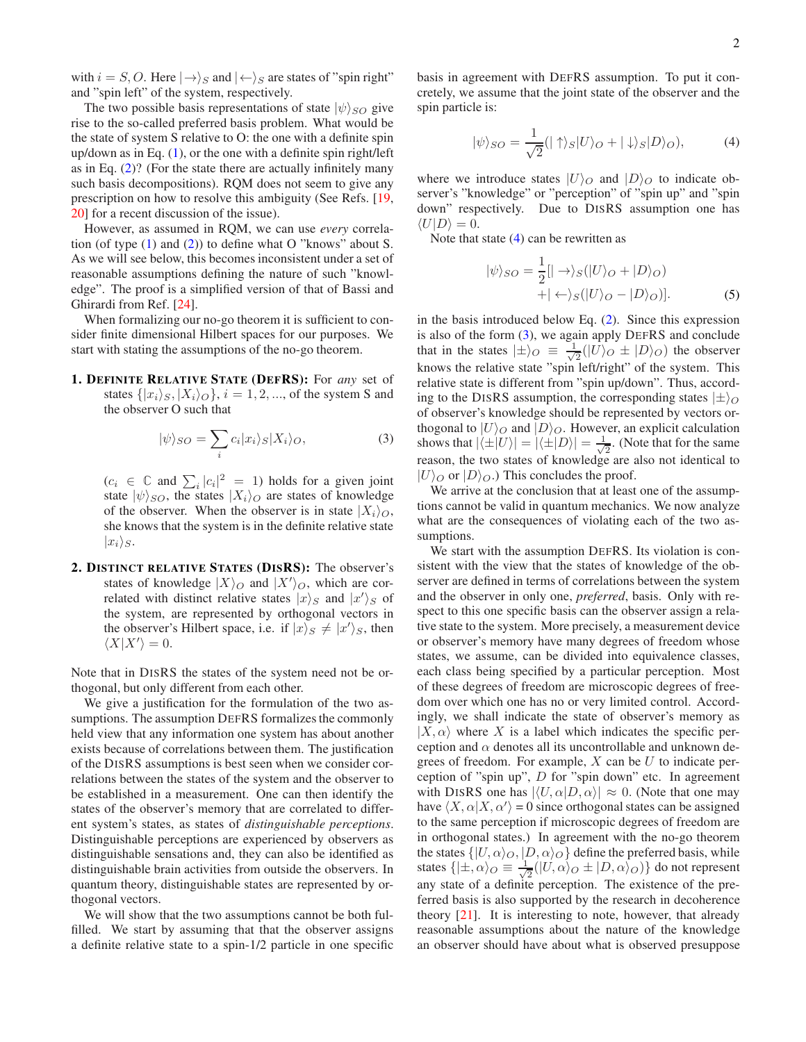with  $i = S, O$ . Here  $|\rightarrow\rangle_S$  and  $|\leftarrow\rangle_S$  are states of "spin right" and "spin left" of the system, respectively.

The two possible basis representations of state  $|\psi\rangle_{SO}$  give rise to the so-called preferred basis problem. What would be the state of system S relative to O: the one with a definite spin up/down as in Eq. [\(1\)](#page-0-0), or the one with a definite spin right/left as in Eq.  $(2)$ ? (For the state there are actually infinitely many such basis decompositions). RQM does not seem to give any prescription on how to resolve this ambiguity (See Refs. [\[19,](#page-3-4) [20\]](#page-3-5) for a recent discussion of the issue).

However, as assumed in RQM, we can use *every* correlation (of type  $(1)$  and  $(2)$ ) to define what O "knows" about S. As we will see below, this becomes inconsistent under a set of reasonable assumptions defining the nature of such "knowledge". The proof is a simplified version of that of Bassi and Ghirardi from Ref. [\[24\]](#page-3-6).

When formalizing our no-go theorem it is sufficient to consider finite dimensional Hilbert spaces for our purposes. We start with stating the assumptions of the no-go theorem.

1. DEFINITE RELATIVE STATE (DEFRS): For *any* set of states  $\{|x_i\rangle_{\mathcal{S}}, |X_i\rangle_{\mathcal{O}}\}, i = 1, 2, ...,$  of the system S and the observer O such that

<span id="page-1-1"></span>
$$
|\psi\rangle_{SO} = \sum_{i} c_i |x_i\rangle_{S} |X_i\rangle_{O},\tag{3}
$$

 $(c_i \in \mathbb{C} \text{ and } \sum_i |c_i|^2 = 1)$  holds for a given joint state  $|\psi\rangle_{SO}$ , the states  $|X_i\rangle_{O}$  are states of knowledge of the observer. When the observer is in state  $|X_i\rangle_O$ , she knows that the system is in the definite relative state  $|x_i\rangle_S$ .

2. DISTINCT RELATIVE STATES (DISRS): The observer's states of knowledge  $|X\rangle$ <sub>O</sub> and  $|X'\rangle$ <sub>O</sub>, which are correlated with distinct relative states  $|x\rangle_S$  and  $|x'\rangle_S$  of the system, are represented by orthogonal vectors in the observer's Hilbert space, i.e. if  $|x\rangle_s \neq |x'\rangle_s$ , then  $\langle X|X'\rangle = 0.$ 

Note that in DISRS the states of the system need not be orthogonal, but only different from each other.

We give a justification for the formulation of the two assumptions. The assumption DEFRS formalizes the commonly held view that any information one system has about another exists because of correlations between them. The justification of the DISRS assumptions is best seen when we consider correlations between the states of the system and the observer to be established in a measurement. One can then identify the states of the observer's memory that are correlated to different system's states, as states of *distinguishable perceptions*. Distinguishable perceptions are experienced by observers as distinguishable sensations and, they can also be identified as distinguishable brain activities from outside the observers. In quantum theory, distinguishable states are represented by orthogonal vectors.

We will show that the two assumptions cannot be both fulfilled. We start by assuming that that the observer assigns a definite relative state to a spin-1/2 particle in one specific basis in agreement with DEFRS assumption. To put it concretely, we assume that the joint state of the observer and the spin particle is:

<span id="page-1-0"></span>
$$
|\psi\rangle_{SO} = \frac{1}{\sqrt{2}} (|\uparrow\rangle_{S} |U\rangle_{O} + |\downarrow\rangle_{S} |D\rangle_{O}), \tag{4}
$$

where we introduce states  $|U\rangle$  and  $|D\rangle$  to indicate observer's "knowledge" or "perception" of "spin up" and "spin down" respectively. Due to DISRS assumption one has  $\langle U|D\rangle = 0.$ 

Note that state  $(4)$  can be rewritten as

<span id="page-1-2"></span>
$$
|\psi\rangle_{SO} = \frac{1}{2} [|\rightarrow\rangle_{S} (|U\rangle_{O} + |D\rangle_{O})
$$
  
+ 
$$
|\leftarrow\rangle_{S} (|U\rangle_{O} - |D\rangle_{O})].
$$
 (5)

in the basis introduced below Eq. [\(2\)](#page-0-1). Since this expression is also of the form [\(3\)](#page-1-1), we again apply DEFRS and conclude that in the states  $|\pm\rangle_O \equiv \frac{\epsilon_1}{\sqrt{2}}$  $\frac{1}{2}(|U\rangle_{O} \pm |D\rangle_{O})$  the observer knows the relative state "spin left/right" of the system. This relative state is different from "spin up/down". Thus, according to the DISRS assumption, the corresponding states  $|\pm\rangle$ <sub>O</sub> of observer's knowledge should be represented by vectors orthogonal to  $|U\rangle$ <sup>O</sup> and  $|D\rangle$ <sup>O</sup>. However, an explicit calculation shows that  $|\langle \pm |U \rangle| = |\langle \pm |D \rangle| = \frac{1}{\sqrt{2}}$  $\frac{1}{2}$ . (Note that for the same reason, the two states of knowledge are also not identical to  $|U\rangle_{\mathcal{O}}$  or  $|D\rangle_{\mathcal{O}}$ .) This concludes the proof.

We arrive at the conclusion that at least one of the assumptions cannot be valid in quantum mechanics. We now analyze what are the consequences of violating each of the two assumptions.

We start with the assumption DEFRS. Its violation is consistent with the view that the states of knowledge of the observer are defined in terms of correlations between the system and the observer in only one, *preferred*, basis. Only with respect to this one specific basis can the observer assign a relative state to the system. More precisely, a measurement device or observer's memory have many degrees of freedom whose states, we assume, can be divided into equivalence classes, each class being specified by a particular perception. Most of these degrees of freedom are microscopic degrees of freedom over which one has no or very limited control. Accordingly, we shall indicate the state of observer's memory as  $|X,\alpha\rangle$  where X is a label which indicates the specific perception and  $\alpha$  denotes all its uncontrollable and unknown degrees of freedom. For example,  $X$  can be  $U$  to indicate perception of "spin up",  $D$  for "spin down" etc. In agreement with DISRS one has  $|\langle U, \alpha | D, \alpha \rangle| \approx 0$ . (Note that one may have  $\langle X, \alpha | X, \alpha' \rangle = 0$  since orthogonal states can be assigned to the same perception if microscopic degrees of freedom are in orthogonal states.) In agreement with the no-go theorem the states  $\{|U,\alpha\rangle_O,|D,\alpha\rangle_O\}$  define the preferred basis, while states  $\{| \pm, \alpha \rangle_O \equiv \frac{1}{\sqrt{2}}\}$  $\frac{1}{2}(|U,\alpha\rangle_O \pm |D,\alpha\rangle_O)\}$  do not represent any state of a definite perception. The existence of the preferred basis is also supported by the research in decoherence theory [\[21\]](#page-3-7). It is interesting to note, however, that already reasonable assumptions about the nature of the knowledge an observer should have about what is observed presuppose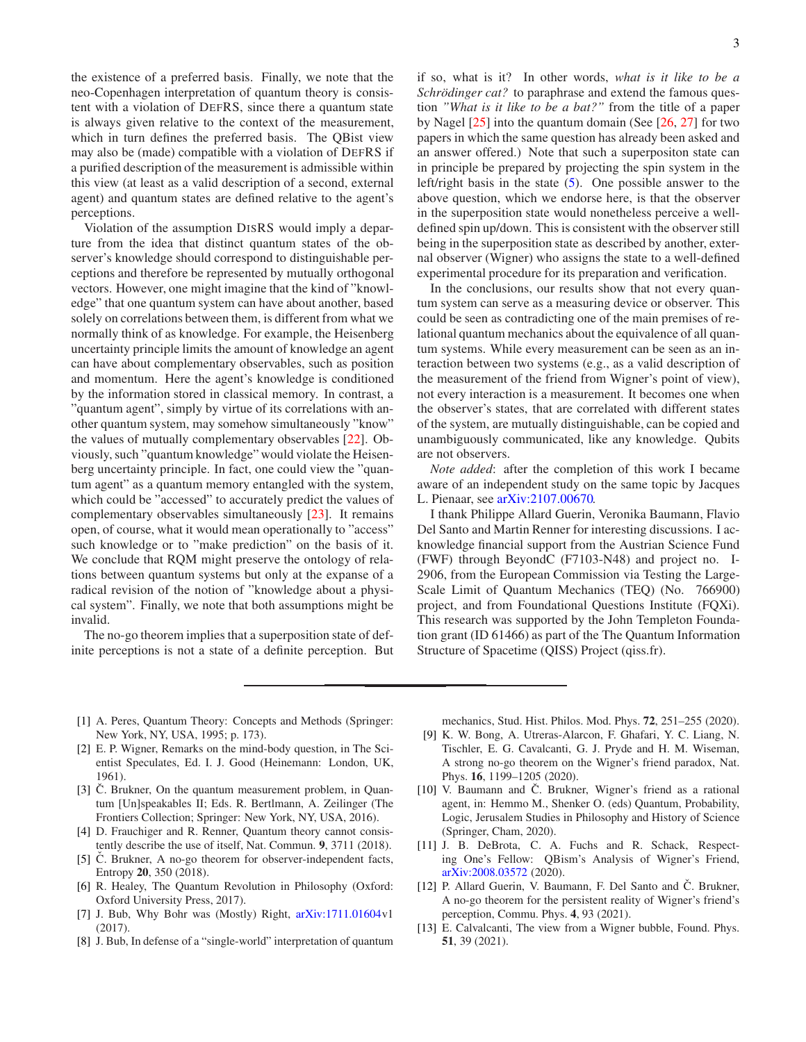the existence of a preferred basis. Finally, we note that the neo-Copenhagen interpretation of quantum theory is consistent with a violation of DEFRS, since there a quantum state is always given relative to the context of the measurement, which in turn defines the preferred basis. The QBist view may also be (made) compatible with a violation of DEFRS if a purified description of the measurement is admissible within this view (at least as a valid description of a second, external agent) and quantum states are defined relative to the agent's perceptions.

Violation of the assumption DISRS would imply a departure from the idea that distinct quantum states of the observer's knowledge should correspond to distinguishable perceptions and therefore be represented by mutually orthogonal vectors. However, one might imagine that the kind of "knowledge" that one quantum system can have about another, based solely on correlations between them, is different from what we normally think of as knowledge. For example, the Heisenberg uncertainty principle limits the amount of knowledge an agent can have about complementary observables, such as position and momentum. Here the agent's knowledge is conditioned by the information stored in classical memory. In contrast, a "quantum agent", simply by virtue of its correlations with another quantum system, may somehow simultaneously "know" the values of mutually complementary observables [\[22\]](#page-3-8). Obviously, such "quantum knowledge" would violate the Heisenberg uncertainty principle. In fact, one could view the "quantum agent" as a quantum memory entangled with the system, which could be "accessed" to accurately predict the values of complementary observables simultaneously [\[23\]](#page-3-9). It remains open, of course, what it would mean operationally to "access" such knowledge or to "make prediction" on the basis of it. We conclude that RQM might preserve the ontology of relations between quantum systems but only at the expanse of a radical revision of the notion of "knowledge about a physical system". Finally, we note that both assumptions might be invalid.

The no-go theorem implies that a superposition state of definite perceptions is not a state of a definite perception. But if so, what is it? In other words, *what is it like to be a Schrödinger cat?* to paraphrase and extend the famous question *"What is it like to be a bat?"* from the title of a paper by Nagel [\[25](#page-3-10)] into the quantum domain (See [\[26,](#page-3-11) [27](#page-3-12)] for two papers in which the same question has already been asked and an answer offered.) Note that such a superpositon state can in principle be prepared by projecting the spin system in the left/right basis in the state [\(5\)](#page-1-2). One possible answer to the above question, which we endorse here, is that the observer in the superposition state would nonetheless perceive a welldefined spin up/down. This is consistent with the observer still being in the superposition state as described by another, external observer (Wigner) who assigns the state to a well-defined experimental procedure for its preparation and verification.

In the conclusions, our results show that not every quantum system can serve as a measuring device or observer. This could be seen as contradicting one of the main premises of relational quantum mechanics about the equivalence of all quantum systems. While every measurement can be seen as an interaction between two systems (e.g., as a valid description of the measurement of the friend from Wigner's point of view), not every interaction is a measurement. It becomes one when the observer's states, that are correlated with different states of the system, are mutually distinguishable, can be copied and unambiguously communicated, like any knowledge. Qubits are not observers.

*Note added*: after the completion of this work I became aware of an independent study on the same topic by Jacques L. Pienaar, see [arXiv:2107.00670.](http://arxiv.org/abs/2107.00670)

I thank Philippe Allard Guerin, Veronika Baumann, Flavio Del Santo and Martin Renner for interesting discussions. I acknowledge financial support from the Austrian Science Fund (FWF) through BeyondC (F7103-N48) and project no. I-2906, from the European Commission via Testing the Large-Scale Limit of Quantum Mechanics (TEQ) (No. 766900) project, and from Foundational Questions Institute (FQXi). This research was supported by the John Templeton Foundation grant (ID 61466) as part of the The Quantum Information Structure of Spacetime (QISS) Project (qiss.fr).

- <span id="page-2-0"></span>[1] A. Peres, Quantum Theory: Concepts and Methods (Springer: New York, NY, USA, 1995; p. 173).
- <span id="page-2-1"></span>[2] E. P. Wigner, Remarks on the mind-body question, in The Scientist Speculates, Ed. I. J. Good (Heinemann: London, UK, 1961).
- <span id="page-2-2"></span>[3] C. Brukner, On the quantum measurement problem, in Quantum [Un]speakables II; Eds. R. Bertlmann, A. Zeilinger (The Frontiers Collection; Springer: New York, NY, USA, 2016).
- [4] D. Frauchiger and R. Renner, Quantum theory cannot consistently describe the use of itself, Nat. Commun. 9, 3711 (2018).
- [5]  $\check{C}$ . Brukner, A no-go theorem for observer-independent facts, Entropy 20, 350 (2018).
- <span id="page-2-5"></span>[6] R. Healey, The Quantum Revolution in Philosophy (Oxford: Oxford University Press, 2017).
- [7] J. Bub, Why Bohr was (Mostly) Right,  $arXiv:1711.01604v1$  $arXiv:1711.01604v1$ (2017).
- <span id="page-2-6"></span>[8] J. Bub, In defense of a "single-world" interpretation of quantum

mechanics, Stud. Hist. Philos. Mod. Phys. 72, 251–255 (2020).

- <span id="page-2-4"></span>[9] K. W. Bong, A. Utreras-Alarcon, F. Ghafari, Y. C. Liang, N. Tischler, E. G. Cavalcanti, G. J. Pryde and H. M. Wiseman, A strong no-go theorem on the Wigner's friend paradox, Nat. Phys. 16, 1199–1205 (2020).
- [10] V. Baumann and C. Brukner, Wigner's friend as a rational agent, in: Hemmo M., Shenker O. (eds) Quantum, Probability, Logic, Jerusalem Studies in Philosophy and History of Science (Springer, Cham, 2020).
- [11] J. B. DeBrota, C. A. Fuchs and R. Schack, Respecting One's Fellow: QBism's Analysis of Wigner's Friend, [arXiv:2008.03572](http://arxiv.org/abs/2008.03572) (2020).
- [12] P. Allard Guerin, V. Baumann, F. Del Santo and Č. Brukner, A no-go theorem for the persistent reality of Wigner's friend's perception, Commu. Phys. 4, 93 (2021).
- <span id="page-2-3"></span>[13] E. Calvalcanti, The view from a Wigner bubble, Found. Phys. 51, 39 (2021).